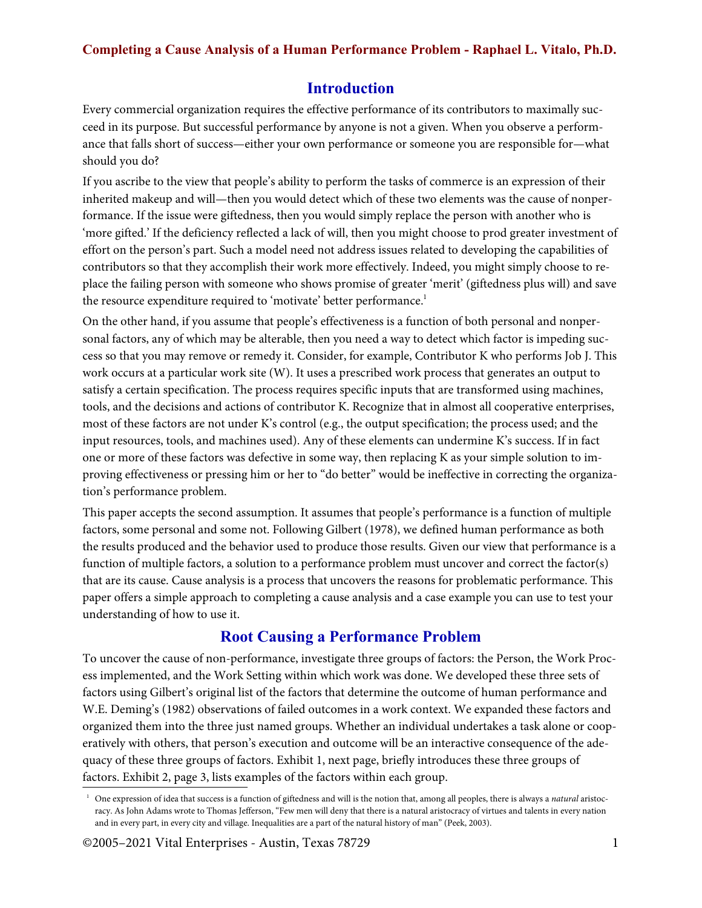## **Completing a Cause Analysis of a Human Performance Problem - Raphael L. Vitalo, Ph.D.**

## **Introduction**

Every commercial organization requires the effective performance of its contributors to maximally succeed in its purpose. But successful performance by anyone is not a given. When you observe a performance that falls short of success—either your own performance or someone you are responsible for—what should you do?

If you ascribe to the view that people's ability to perform the tasks of commerce is an expression of their inherited makeup and will—then you would detect which of these two elements was the cause of nonperformance. If the issue were giftedness, then you would simply replace the person with another who is 'more gifted.' If the deficiency reflected a lack of will, then you might choose to prod greater investment of effort on the person's part. Such a model need not address issues related to developing the capabilities of contributors so that they accomplish their work more effectively. Indeed, you might simply choose to replace the failing person with someone who shows promise of greater 'merit' (giftedness plus will) and save the resource expenditure required to 'motivate' better performance.<sup>1</sup>

On the other hand, if you assume that people's effectiveness is a function of both personal and nonpersonal factors, any of which may be alterable, then you need a way to detect which factor is impeding success so that you may remove or remedy it. Consider, for example, Contributor K who performs Job J. This work occurs at a particular work site (W). It uses a prescribed work process that generates an output to satisfy a certain specification. The process requires specific inputs that are transformed using machines, tools, and the decisions and actions of contributor K. Recognize that in almost all cooperative enterprises, most of these factors are not under K's control (e.g., the output specification; the process used; and the input resources, tools, and machines used). Any of these elements can undermine K's success. If in fact one or more of these factors was defective in some way, then replacing K as your simple solution to improving effectiveness or pressing him or her to "do better" would be ineffective in correcting the organization's performance problem.

This paper accepts the second assumption. It assumes that people's performance is a function of multiple factors, some personal and some not. Following Gilbert (1978), we defined human performance as both the results produced and the behavior used to produce those results. Given our view that performance is a function of multiple factors, a solution to a performance problem must uncover and correct the factor(s) that are its cause. Cause analysis is a process that uncovers the reasons for problematic performance. This paper offers a simple approach to completing a cause analysis and a case example you can use to test your understanding of how to use it.

## **Root Causing a Performance Problem**

To uncover the cause of non-performance, investigate three groups of factors: the Person, the Work Process implemented, and the Work Setting within which work was done. We developed these three sets of factors using Gilbert's original list of the factors that determine the outcome of human performance and W.E. Deming's (1982) observations of failed outcomes in a work context. We expanded these factors and organized them into the three just named groups. Whether an individual undertakes a task alone or cooperatively with others, that person's execution and outcome will be an interactive consequence of the adequacy of these three groups of factors. Exhibit 1, next page, briefly introduces these three groups of factors. Exhibit 2, page 3, lists examples of the factors within each group.

©2005–2021 Vital Enterprises - Austin, Texas 78729 1

<sup>&</sup>lt;sup>1</sup> One expression of idea that success is a function of giftedness and will is the notion that, among all peoples, there is always a *natural* aristocracy. As John Adams wrote to Thomas Jefferson, "Few men will deny that there is a natural aristocracy of virtues and talents in every nation and in every part, in every city and village. Inequalities are a part of the natural history of man" (Peek, 2003).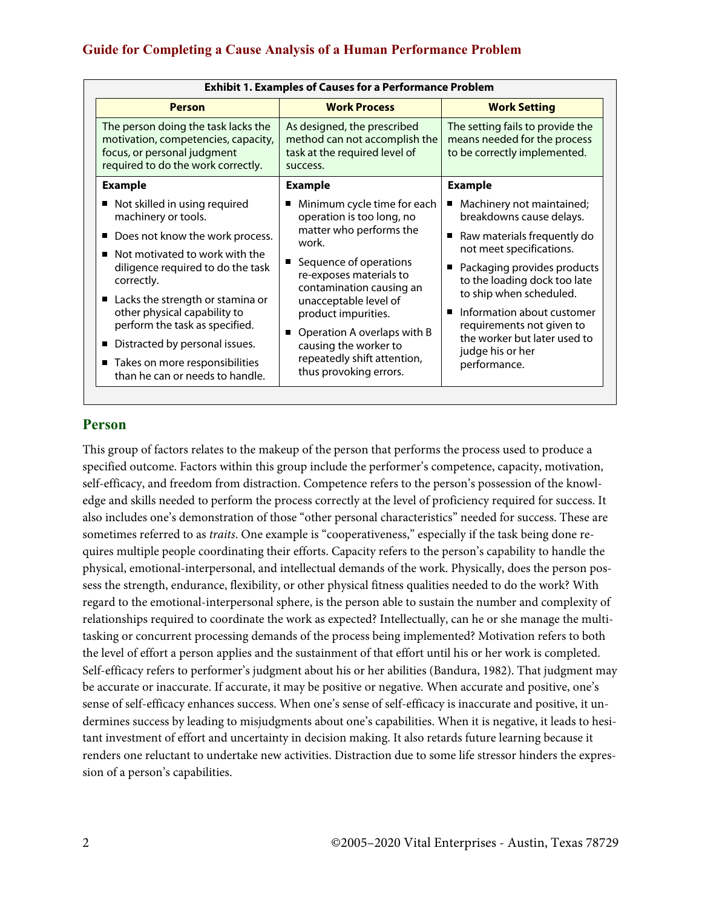| <b>Exhibit 1. Examples of Causes for a Performance Problem</b>                                                                                  |                                                                                                           |                                                                                                  |  |  |
|-------------------------------------------------------------------------------------------------------------------------------------------------|-----------------------------------------------------------------------------------------------------------|--------------------------------------------------------------------------------------------------|--|--|
| <b>Person</b>                                                                                                                                   | <b>Work Process</b>                                                                                       | <b>Work Setting</b>                                                                              |  |  |
| The person doing the task lacks the<br>motivation, competencies, capacity,<br>focus, or personal judgment<br>required to do the work correctly. | As designed, the prescribed<br>method can not accomplish the<br>task at the required level of<br>success. | The setting fails to provide the<br>means needed for the process<br>to be correctly implemented. |  |  |
| <b>Example</b>                                                                                                                                  | <b>Example</b>                                                                                            | <b>Example</b>                                                                                   |  |  |
| Not skilled in using required<br>machinery or tools.                                                                                            | Minimum cycle time for each<br>operation is too long, no                                                  | Machinery not maintained;<br>breakdowns cause delays.                                            |  |  |
| Does not know the work process.<br>Not motivated to work with the<br>٠                                                                          | matter who performs the<br>work.                                                                          | Raw materials frequently do<br>П<br>not meet specifications.                                     |  |  |
| diligence required to do the task<br>correctly.                                                                                                 | ■ Sequence of operations<br>re-exposes materials to<br>contamination causing an                           | Packaging provides products<br>п<br>to the loading dock too late                                 |  |  |
| ■ Lacks the strength or stamina or<br>other physical capability to                                                                              | unacceptable level of<br>product impurities.                                                              | to ship when scheduled.<br>Information about customer<br>$\blacksquare$                          |  |  |
| perform the task as specified.<br>Distracted by personal issues.                                                                                | Operation A overlaps with B<br>П<br>causing the worker to                                                 | requirements not given to<br>the worker but later used to<br>judge his or her                    |  |  |
| ■ Takes on more responsibilities<br>than he can or needs to handle.                                                                             | repeatedly shift attention,<br>thus provoking errors.                                                     | performance.                                                                                     |  |  |

## **Person**

This group of factors relates to the makeup of the person that performs the process used to produce a specified outcome. Factors within this group include the performer's competence, capacity, motivation, self-efficacy, and freedom from distraction. Competence refers to the person's possession of the knowledge and skills needed to perform the process correctly at the level of proficiency required for success. It also includes one's demonstration of those "other personal characteristics" needed for success. These are sometimes referred to as *traits*. One example is "cooperativeness," especially if the task being done requires multiple people coordinating their efforts. Capacity refers to the person's capability to handle the physical, emotional-interpersonal, and intellectual demands of the work. Physically, does the person possess the strength, endurance, flexibility, or other physical fitness qualities needed to do the work? With regard to the emotional-interpersonal sphere, is the person able to sustain the number and complexity of relationships required to coordinate the work as expected? Intellectually, can he or she manage the multitasking or concurrent processing demands of the process being implemented? Motivation refers to both the level of effort a person applies and the sustainment of that effort until his or her work is completed. Self-efficacy refers to performer's judgment about his or her abilities (Bandura, 1982). That judgment may be accurate or inaccurate. If accurate, it may be positive or negative. When accurate and positive, one's sense of self-efficacy enhances success. When one's sense of self-efficacy is inaccurate and positive, it undermines success by leading to misjudgments about one's capabilities. When it is negative, it leads to hesitant investment of effort and uncertainty in decision making. It also retards future learning because it renders one reluctant to undertake new activities. Distraction due to some life stressor hinders the expression of a person's capabilities.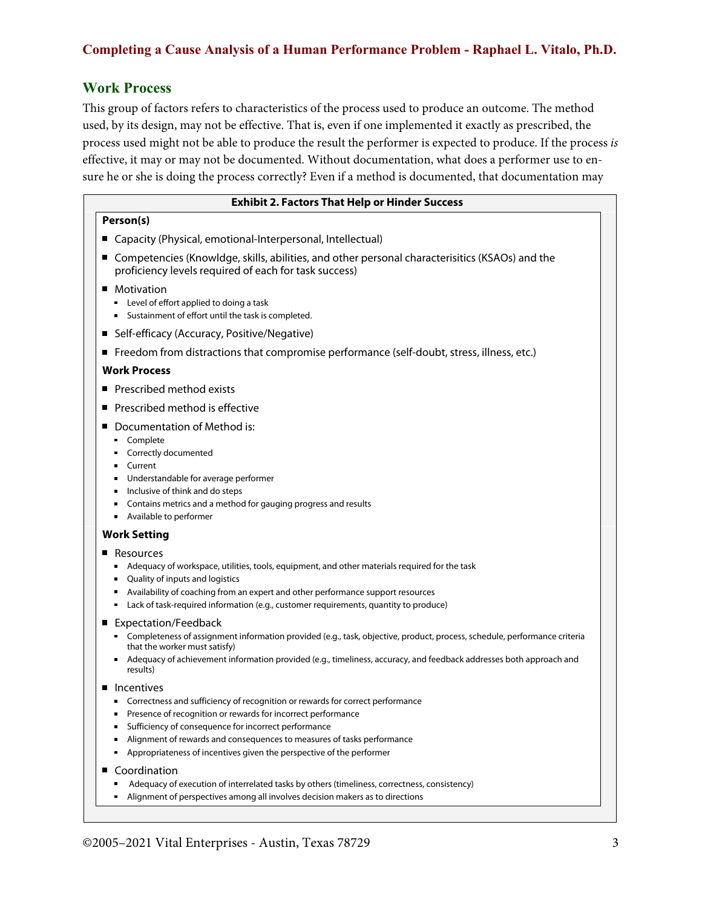## **Work Process**

This group of factors refers to characteristics of the process used to produce an outcome. The method used, by its design, may not be effective. That is, even if one implemented it exactly as prescribed, the process used might not be able to produce the result the performer is expected to produce. If the process is effective, it may or may not be documented. Without documentation, what does a performer use to ensure he or she is doing the process correctly? Even if a method is documented, that documentation may

| <b>Exhibit 2. Factors That Help or Hinder Success</b>                                                                                                                                                                                                                                                                                                                               |
|-------------------------------------------------------------------------------------------------------------------------------------------------------------------------------------------------------------------------------------------------------------------------------------------------------------------------------------------------------------------------------------|
| Person(s)                                                                                                                                                                                                                                                                                                                                                                           |
| ■ Capacity (Physical, emotional-Interpersonal, Intellectual)                                                                                                                                                                                                                                                                                                                        |
| ■ Competencies (Knowldge, skills, abilities, and other personal characterisitics (KSAOs) and the<br>proficiency levels required of each for task success)                                                                                                                                                                                                                           |
| Motivation<br>п<br>" Level of effort applied to doing a task<br>" Sustainment of effort until the task is completed.                                                                                                                                                                                                                                                                |
| Self-efficacy (Accuracy, Positive/Negative)<br>ш                                                                                                                                                                                                                                                                                                                                    |
| ■ Freedom from distractions that compromise performance (self-doubt, stress, illness, etc.)                                                                                                                                                                                                                                                                                         |
| <b>Work Process</b>                                                                                                                                                                                                                                                                                                                                                                 |
| ■ Prescribed method exists                                                                                                                                                                                                                                                                                                                                                          |
| Prescribed method is effective                                                                                                                                                                                                                                                                                                                                                      |
| Documentation of Method is:<br>• Complete<br>Correctly documented<br>Current<br>Understandable for average performer<br>Inclusive of think and do steps<br>٠<br>Contains metrics and a method for gauging progress and results<br>٠<br>• Available to performer                                                                                                                     |
| <b>Work Setting</b>                                                                                                                                                                                                                                                                                                                                                                 |
| ■ Resources<br>Adequacy of workspace, utilities, tools, equipment, and other materials required for the task<br>٠<br>Quality of inputs and logistics<br>٠<br>Availability of coaching from an expert and other performance support resources<br>٠<br>Lack of task-required information (e.g., customer requirements, quantity to produce)<br>٠                                      |
| ■ Expectation/Feedback<br>" Completeness of assignment information provided (e.g., task, objective, product, process, schedule, performance criteria<br>that the worker must satisfy)<br>Adequacy of achievement information provided (e.g., timeliness, accuracy, and feedback addresses both approach and<br>٠<br>results)                                                        |
| <b>Incentives</b><br>• Correctness and sufficiency of recognition or rewards for correct performance<br>Presence of recognition or rewards for incorrect performance<br>Sufficiency of consequence for incorrect performance<br>Alignment of rewards and consequences to measures of tasks performance<br>Appropriateness of incentives given the perspective of the performer<br>٠ |
| Coordination<br>Adequacy of execution of interrelated tasks by others (timeliness, correctness, consistency)<br>Alignment of perspectives among all involves decision makers as to directions<br>٠                                                                                                                                                                                  |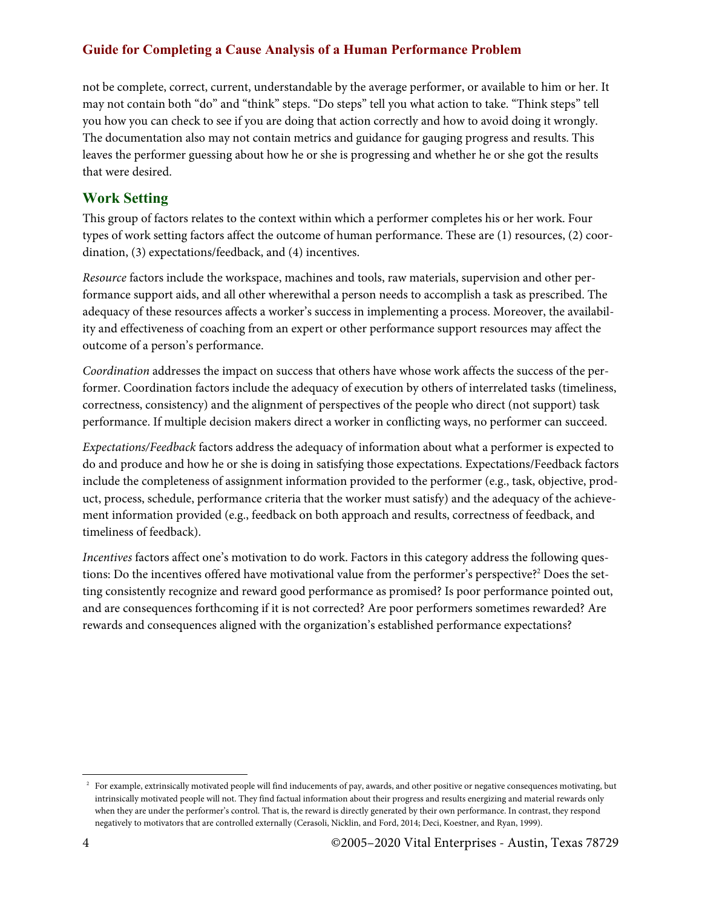## **Guide for Completing a Cause Analysis of a Human Performance Problem**

not be complete, correct, current, understandable by the average performer, or available to him or her. It may not contain both "do" and "think" steps. "Do steps" tell you what action to take. "Think steps" tell you how you can check to see if you are doing that action correctly and how to avoid doing it wrongly. The documentation also may not contain metrics and guidance for gauging progress and results. This leaves the performer guessing about how he or she is progressing and whether he or she got the results that were desired.

## **Work Setting**

This group of factors relates to the context within which a performer completes his or her work. Four types of work setting factors affect the outcome of human performance. These are (1) resources, (2) coordination, (3) expectations/feedback, and (4) incentives.

*Resource* factors include the workspace, machines and tools, raw materials, supervision and other performance support aids, and all other wherewithal a person needs to accomplish a task as prescribed. The adequacy of these resources affects a worker's success in implementing a process. Moreover, the availability and effectiveness of coaching from an expert or other performance support resources may affect the outcome of a person's performance.

*Coordination* addresses the impact on success that others have whose work affects the success of the performer. Coordination factors include the adequacy of execution by others of interrelated tasks (timeliness, correctness, consistency) and the alignment of perspectives of the people who direct (not support) task performance. If multiple decision makers direct a worker in conflicting ways, no performer can succeed.

*Expectations/Feedback* factors address the adequacy of information about what a performer is expected to do and produce and how he or she is doing in satisfying those expectations. Expectations/Feedback factors include the completeness of assignment information provided to the performer (e.g., task, objective, product, process, schedule, performance criteria that the worker must satisfy) and the adequacy of the achievement information provided (e.g., feedback on both approach and results, correctness of feedback, and timeliness of feedback).

*Incentives* factors affect one's motivation to do work. Factors in this category address the following questions: Do the incentives offered have motivational value from the performer's perspective?<sup>2</sup> Does the setting consistently recognize and reward good performance as promised? Is poor performance pointed out, and are consequences forthcoming if it is not corrected? Are poor performers sometimes rewarded? Are rewards and consequences aligned with the organization's established performance expectations?

<sup>&</sup>lt;sup>2</sup> For example, extrinsically motivated people will find inducements of pay, awards, and other positive or negative consequences motivating, but intrinsically motivated people will not. They find factual information about their progress and results energizing and material rewards only when they are under the performer's control. That is, the reward is directly generated by their own performance. In contrast, they respond negatively to motivators that are controlled externally (Cerasoli, Nicklin, and Ford, 2014; Deci, Koestner, and Ryan, 1999).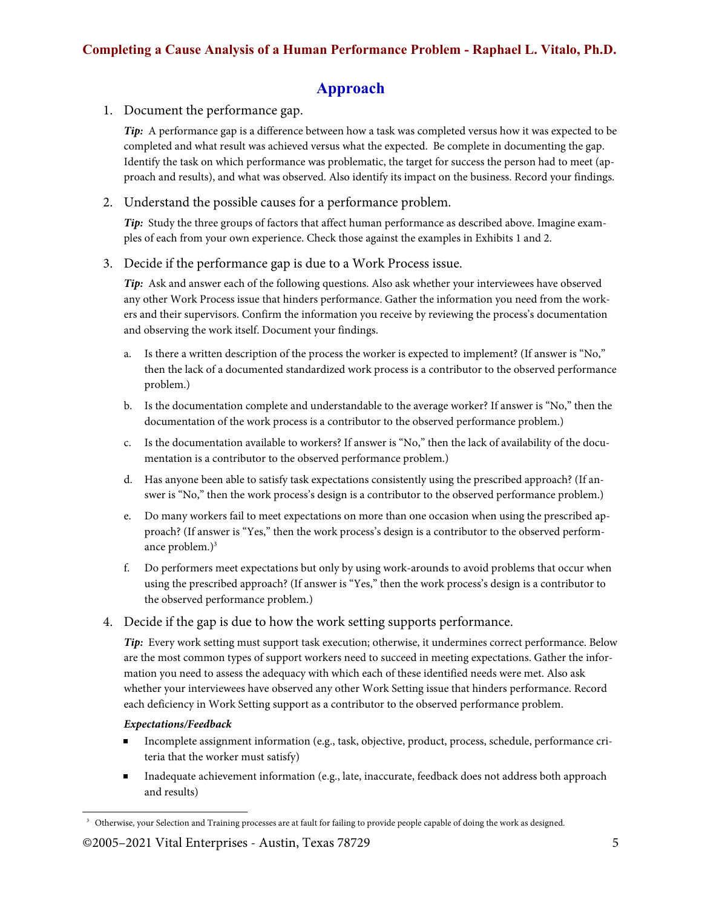# **Approach**

## 1. Document the performance gap.

*Tip:* A performance gap is a difference between how a task was completed versus how it was expected to be completed and what result was achieved versus what the expected. Be complete in documenting the gap. Identify the task on which performance was problematic, the target for success the person had to meet (approach and results), and what was observed. Also identify its impact on the business. Record your findings.

### 2. Understand the possible causes for a performance problem.

*Tip:* Study the three groups of factors that affect human performance as described above. Imagine examples of each from your own experience. Check those against the examples in Exhibits 1 and 2.

### 3. Decide if the performance gap is due to a Work Process issue.

*Tip:* Ask and answer each of the following questions. Also ask whether your interviewees have observed any other Work Process issue that hinders performance. Gather the information you need from the workers and their supervisors. Confirm the information you receive by reviewing the process's documentation and observing the work itself. Document your findings.

- a. Is there a written description of the process the worker is expected to implement? (If answer is "No," then the lack of a documented standardized work process is a contributor to the observed performance problem.)
- b. Is the documentation complete and understandable to the average worker? If answer is "No," then the documentation of the work process is a contributor to the observed performance problem.)
- c. Is the documentation available to workers? If answer is "No," then the lack of availability of the documentation is a contributor to the observed performance problem.)
- d. Has anyone been able to satisfy task expectations consistently using the prescribed approach? (If answer is "No," then the work process's design is a contributor to the observed performance problem.)
- e. Do many workers fail to meet expectations on more than one occasion when using the prescribed approach? (If answer is "Yes," then the work process's design is a contributor to the observed performance problem. $)^3$
- f. Do performers meet expectations but only by using work-arounds to avoid problems that occur when using the prescribed approach? (If answer is "Yes," then the work process's design is a contributor to the observed performance problem.)
- 4. Decide if the gap is due to how the work setting supports performance.

*Tip:* Every work setting must support task execution; otherwise, it undermines correct performance. Below are the most common types of support workers need to succeed in meeting expectations. Gather the information you need to assess the adequacy with which each of these identified needs were met. Also ask whether your interviewees have observed any other Work Setting issue that hinders performance. Record each deficiency in Work Setting support as a contributor to the observed performance problem.

### *Expectations/Feedback*

- Incomplete assignment information (e.g., task, objective, product, process, schedule, performance cri- $\blacksquare$ teria that the worker must satisfy)
- Inadequate achievement information (e.g., late, inaccurate, feedback does not address both approach and results)

<sup>&</sup>lt;sup>3</sup> Otherwise, your Selection and Training processes are at fault for failing to provide people capable of doing the work as designed.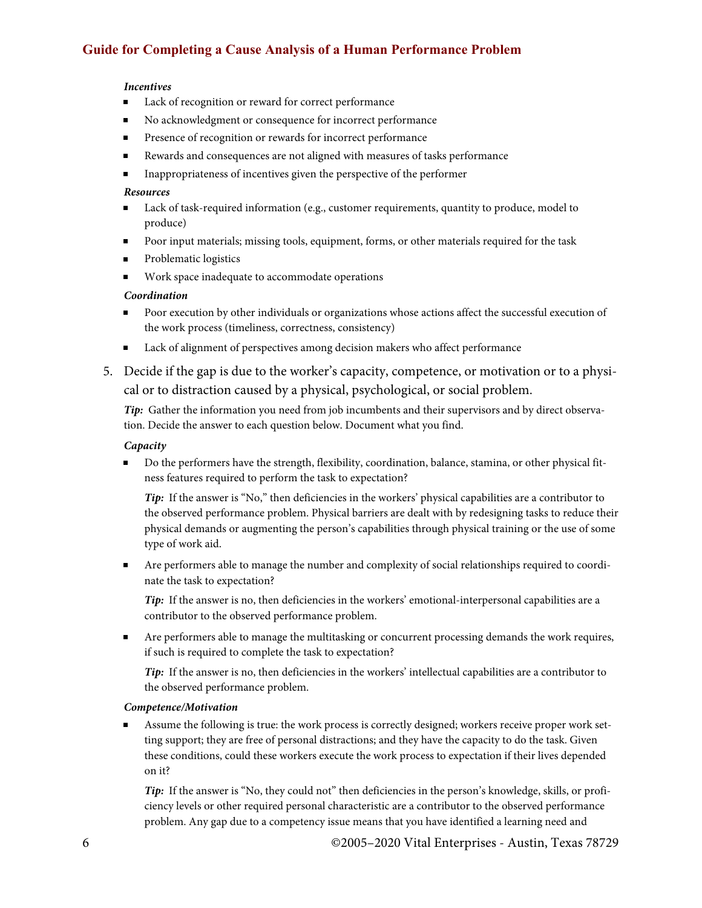## **Guide for Completing a Cause Analysis of a Human Performance Problem**

#### *Incentives*

- $\blacksquare$ Lack of recognition or reward for correct performance
- No acknowledgment or consequence for incorrect performance  $\blacksquare$
- $\blacksquare$ Presence of recognition or rewards for incorrect performance
- Rewards and consequences are not aligned with measures of tasks performance  $\blacksquare$
- Inappropriateness of incentives given the perspective of the performer  $\blacksquare$

#### *Resources*

- **Lack of task-required information (e.g., customer requirements, quantity to produce, model to** produce)
- **Poor input materials; missing tools, equipment, forms, or other materials required for the task**
- **Problematic logistics**
- Work space inadequate to accommodate operations  $\blacksquare$

#### *Coordination*

- $\blacksquare$ Poor execution by other individuals or organizations whose actions affect the successful execution of the work process (timeliness, correctness, consistency)
- $\blacksquare$ Lack of alignment of perspectives among decision makers who affect performance
- 5. Decide if the gap is due to the worker's capacity, competence, or motivation or to a physical or to distraction caused by a physical, psychological, or social problem.

*Tip:* Gather the information you need from job incumbents and their supervisors and by direct observation. Decide the answer to each question below. Document what you find.

#### *Capacity*

Do the performers have the strength, flexibility, coordination, balance, stamina, or other physical fit- $\blacksquare$ ness features required to perform the task to expectation?

*Tip*: If the answer is "No," then deficiencies in the workers' physical capabilities are a contributor to the observed performance problem. Physical barriers are dealt with by redesigning tasks to reduce their physical demands or augmenting the person's capabilities through physical training or the use of some type of work aid.

Are performers able to manage the number and complexity of social relationships required to coordinate the task to expectation?

*Tip:* If the answer is no, then deficiencies in the workers' emotional-interpersonal capabilities are a contributor to the observed performance problem.

 $\blacksquare$ Are performers able to manage the multitasking or concurrent processing demands the work requires, if such is required to complete the task to expectation?

*Tip:* If the answer is no, then deficiencies in the workers' intellectual capabilities are a contributor to the observed performance problem.

#### *Competence/Motivation*

Assume the following is true: the work process is correctly designed; workers receive proper work setting support; they are free of personal distractions; and they have the capacity to do the task. Given these conditions, could these workers execute the work process to expectation if their lives depended on it?

*Tip:* If the answer is "No, they could not" then deficiencies in the person's knowledge, skills, or proficiency levels or other required personal characteristic are a contributor to the observed performance problem. Any gap due to a competency issue means that you have identified a learning need and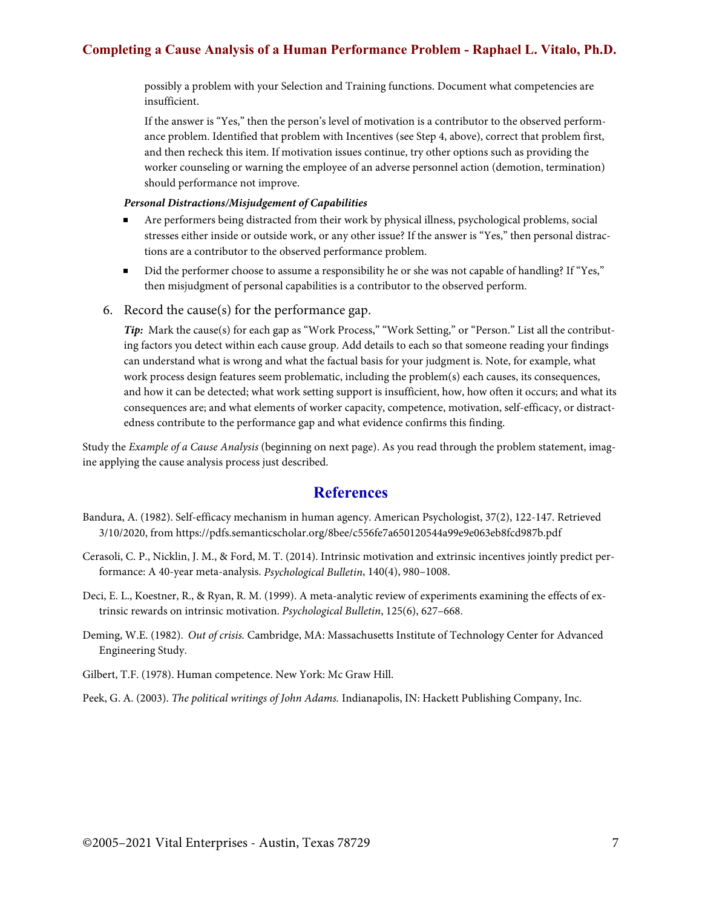## **Completing a Cause Analysis of a Human Performance Problem - Raphael L. Vitalo, Ph.D.**

possibly a problem with your Selection and Training functions. Document what competencies are insufficient.

If the answer is "Yes," then the person's level of motivation is a contributor to the observed performance problem. Identified that problem with Incentives (see Step 4, above), correct that problem first, and then recheck this item. If motivation issues continue, try other options such as providing the worker counseling or warning the employee of an adverse personnel action (demotion, termination) should performance not improve.

#### *Personal Distractions/Misjudgement of Capabilities*

- Are performers being distracted from their work by physical illness, psychological problems, social  $\blacksquare$ stresses either inside or outside work, or any other issue? If the answer is "Yes," then personal distractions are a contributor to the observed performance problem.
- Did the performer choose to assume a responsibility he or she was not capable of handling? If "Yes," then misjudgment of personal capabilities is a contributor to the observed perform.
- 6. Record the cause(s) for the performance gap.

*Tip*: Mark the cause(s) for each gap as "Work Process," "Work Setting," or "Person." List all the contributing factors you detect within each cause group. Add details to each so that someone reading your findings can understand what is wrong and what the factual basis for your judgment is. Note, for example, what work process design features seem problematic, including the problem(s) each causes, its consequences, and how it can be detected; what work setting support is insufficient, how, how often it occurs; and what its consequences are; and what elements of worker capacity, competence, motivation, self-efficacy, or distractedness contribute to the performance gap and what evidence confirms this finding.

Study the *Example of a Cause Analysis* (beginning on next page). As you read through the problem statement, imagine applying the cause analysis process just described.

### **References**

- Bandura, A. (1982). Self-efficacy mechanism in human agency. American Psychologist, 37(2), 122-147. Retrieved 3/10/2020, from https://pdfs.semanticscholar.org/8bee/c556fe7a650120544a99e9e063eb8fcd987b.pdf
- Cerasoli, C. P., Nicklin, J. M., & Ford, M. T. (2014). Intrinsic motivation and extrinsic incentives jointly predict performance: A 40-year meta-analysis. *Psychological Bulletin*, 140(4), 980–1008.
- Deci, E. L., Koestner, R., & Ryan, R. M. (1999). A meta-analytic review of experiments examining the effects of extrinsic rewards on intrinsic motivation. *Psychological Bulletin*, 125(6), 627–668.
- Deming, W.E. (1982). *Out of crisis.* Cambridge, MA: Massachusetts Institute of Technology Center for Advanced Engineering Study.
- Gilbert, T.F. (1978). Human competence. New York: Mc Graw Hill.

Peek, G. A. (2003). *The political writings of John Adams.* Indianapolis, IN: Hackett Publishing Company, Inc.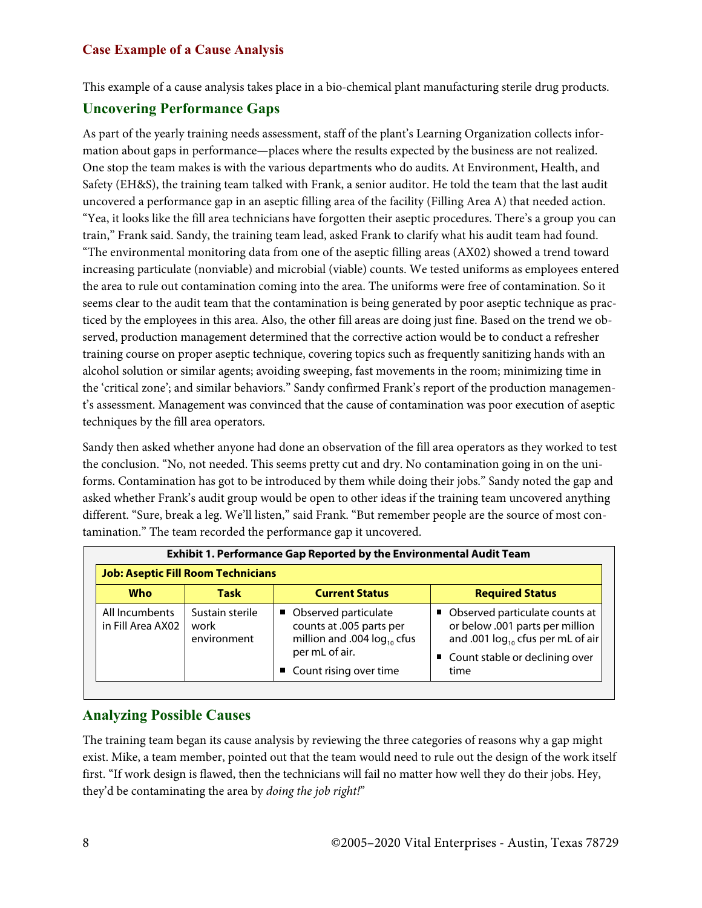This example of a cause analysis takes place in a bio-chemical plant manufacturing sterile drug products.

## **Uncovering Performance Gaps**

As part of the yearly training needs assessment, staff of the plant's Learning Organization collects information about gaps in performance—places where the results expected by the business are not realized. One stop the team makes is with the various departments who do audits. At Environment, Health, and Safety (EH&S), the training team talked with Frank, a senior auditor. He told the team that the last audit uncovered a performance gap in an aseptic filling area of the facility (Filling Area A) that needed action. "Yea, it looks like the fill area technicians have forgotten their aseptic procedures. There's a group you can train," Frank said. Sandy, the training team lead, asked Frank to clarify what his audit team had found. "The environmental monitoring data from one of the aseptic filling areas (AX02) showed a trend toward increasing particulate (nonviable) and microbial (viable) counts. We tested uniforms as employees entered the area to rule out contamination coming into the area. The uniforms were free of contamination. So it seems clear to the audit team that the contamination is being generated by poor aseptic technique as practiced by the employees in this area. Also, the other fill areas are doing just fine. Based on the trend we observed, production management determined that the corrective action would be to conduct a refresher training course on proper aseptic technique, covering topics such as frequently sanitizing hands with an alcohol solution or similar agents; avoiding sweeping, fast movements in the room; minimizing time in the 'critical zone'; and similar behaviors." Sandy confirmed Frank's report of the production management's assessment. Management was convinced that the cause of contamination was poor execution of aseptic techniques by the fill area operators.

Sandy then asked whether anyone had done an observation of the fill area operators as they worked to test the conclusion. "No, not needed. This seems pretty cut and dry. No contamination going in on the uniforms. Contamination has got to be introduced by them while doing their jobs." Sandy noted the gap and asked whether Frank's audit group would be open to other ideas if the training team uncovered anything different. "Sure, break a leg. We'll listen," said Frank. "But remember people are the source of most contamination." The team recorded the performance gap it uncovered.

| <b>Exhibit 1. Performance Gap Reported by the Environmental Audit Team</b> |                                        |                                                                                                                                    |                                                                                                                                                           |  |
|----------------------------------------------------------------------------|----------------------------------------|------------------------------------------------------------------------------------------------------------------------------------|-----------------------------------------------------------------------------------------------------------------------------------------------------------|--|
| <b>Job: Aseptic Fill Room Technicians</b>                                  |                                        |                                                                                                                                    |                                                                                                                                                           |  |
| <b>Who</b>                                                                 | Task                                   | <b>Current Status</b>                                                                                                              | <b>Required Status</b>                                                                                                                                    |  |
| All Incumbents<br>in Fill Area AX02                                        | Sustain sterile<br>work<br>environment | • Observed particulate<br>counts at .005 parts per<br>million and .004 $log_{10}$ cfus<br>per mL of air.<br>Count rising over time | • Observed particulate counts at<br>or below .001 parts per million<br>and .001 $log_{10}$ cfus per mL of air<br>■ Count stable or declining over<br>time |  |

## **Analyzing Possible Causes**

The training team began its cause analysis by reviewing the three categories of reasons why a gap might exist. Mike, a team member, pointed out that the team would need to rule out the design of the work itself first. "If work design is flawed, then the technicians will fail no matter how well they do their jobs. Hey, they'd be contaminating the area by *doing the job right!*"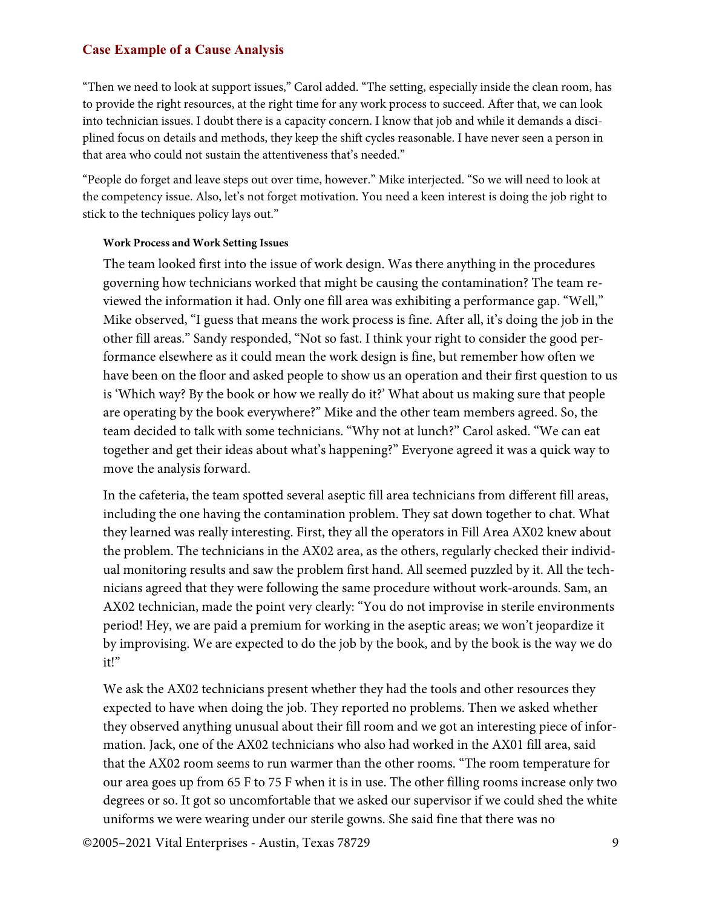"Then we need to look at support issues," Carol added. "The setting, especially inside the clean room, has to provide the right resources, at the right time for any work process to succeed. After that, we can look into technician issues. I doubt there is a capacity concern. I know that job and while it demands a disciplined focus on details and methods, they keep the shift cycles reasonable. I have never seen a person in that area who could not sustain the attentiveness that's needed."

"People do forget and leave steps out over time, however." Mike interjected. "So we will need to look at the competency issue. Also, let's not forget motivation. You need a keen interest is doing the job right to stick to the techniques policy lays out."

#### **Work Process and Work Setting Issues**

The team looked first into the issue of work design. Was there anything in the procedures governing how technicians worked that might be causing the contamination? The team reviewed the information it had. Only one fill area was exhibiting a performance gap. "Well," Mike observed, "I guess that means the work process is fine. After all, it's doing the job in the other fill areas." Sandy responded, "Not so fast. I think your right to consider the good performance elsewhere as it could mean the work design is fine, but remember how often we have been on the floor and asked people to show us an operation and their first question to us is 'Which way? By the book or how we really do it?' What about us making sure that people are operating by the book everywhere?" Mike and the other team members agreed. So, the team decided to talk with some technicians. "Why not at lunch?" Carol asked. "We can eat together and get their ideas about what's happening?" Everyone agreed it was a quick way to move the analysis forward.

In the cafeteria, the team spotted several aseptic fill area technicians from different fill areas, including the one having the contamination problem. They sat down together to chat. What they learned was really interesting. First, they all the operators in Fill Area AX02 knew about the problem. The technicians in the AX02 area, as the others, regularly checked their individual monitoring results and saw the problem first hand. All seemed puzzled by it. All the technicians agreed that they were following the same procedure without work-arounds. Sam, an AX02 technician, made the point very clearly: "You do not improvise in sterile environments period! Hey, we are paid a premium for working in the aseptic areas; we won't jeopardize it by improvising. We are expected to do the job by the book, and by the book is the way we do it!"

We ask the AX02 technicians present whether they had the tools and other resources they expected to have when doing the job. They reported no problems. Then we asked whether they observed anything unusual about their fill room and we got an interesting piece of information. Jack, one of the AX02 technicians who also had worked in the AX01 fill area, said that the AX02 room seems to run warmer than the other rooms. "The room temperature for our area goes up from 65 F to 75 F when it is in use. The other filling rooms increase only two degrees or so. It got so uncomfortable that we asked our supervisor if we could shed the white uniforms we were wearing under our sterile gowns. She said fine that there was no

©2005–2021 Vital Enterprises - Austin, Texas 78729 9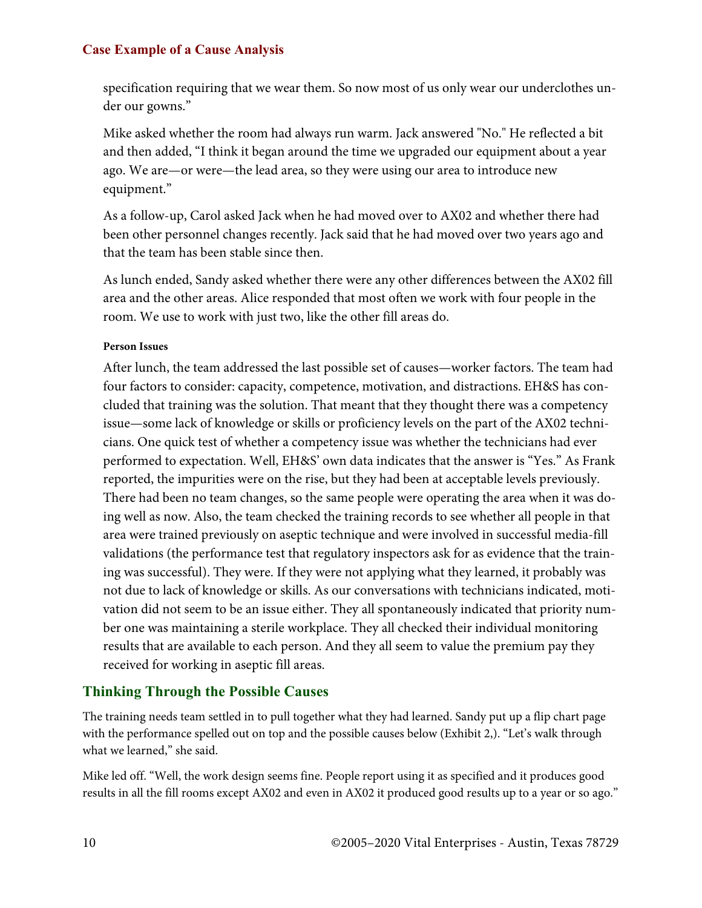specification requiring that we wear them. So now most of us only wear our underclothes under our gowns."

Mike asked whether the room had always run warm. Jack answered "No." He reflected a bit and then added, "I think it began around the time we upgraded our equipment about a year ago. We are—or were—the lead area, so they were using our area to introduce new equipment."

As a follow-up, Carol asked Jack when he had moved over to AX02 and whether there had been other personnel changes recently. Jack said that he had moved over two years ago and that the team has been stable since then.

As lunch ended, Sandy asked whether there were any other differences between the AX02 fill area and the other areas. Alice responded that most often we work with four people in the room. We use to work with just two, like the other fill areas do.

### **Person Issues**

After lunch, the team addressed the last possible set of causes—worker factors. The team had four factors to consider: capacity, competence, motivation, and distractions. EH&S has concluded that training was the solution. That meant that they thought there was a competency issue—some lack of knowledge or skills or proficiency levels on the part of the AX02 technicians. One quick test of whether a competency issue was whether the technicians had ever performed to expectation. Well, EH&S' own data indicates that the answer is "Yes." As Frank reported, the impurities were on the rise, but they had been at acceptable levels previously. There had been no team changes, so the same people were operating the area when it was doing well as now. Also, the team checked the training records to see whether all people in that area were trained previously on aseptic technique and were involved in successful media-fill validations (the performance test that regulatory inspectors ask for as evidence that the training was successful). They were. If they were not applying what they learned, it probably was not due to lack of knowledge or skills. As our conversations with technicians indicated, motivation did not seem to be an issue either. They all spontaneously indicated that priority number one was maintaining a sterile workplace. They all checked their individual monitoring results that are available to each person. And they all seem to value the premium pay they received for working in aseptic fill areas.

## **Thinking Through the Possible Causes**

The training needs team settled in to pull together what they had learned. Sandy put up a flip chart page with the performance spelled out on top and the possible causes below (Exhibit 2,). "Let's walk through what we learned," she said.

Mike led off. "Well, the work design seems fine. People report using it as specified and it produces good results in all the fill rooms except AX02 and even in AX02 it produced good results up to a year or so ago."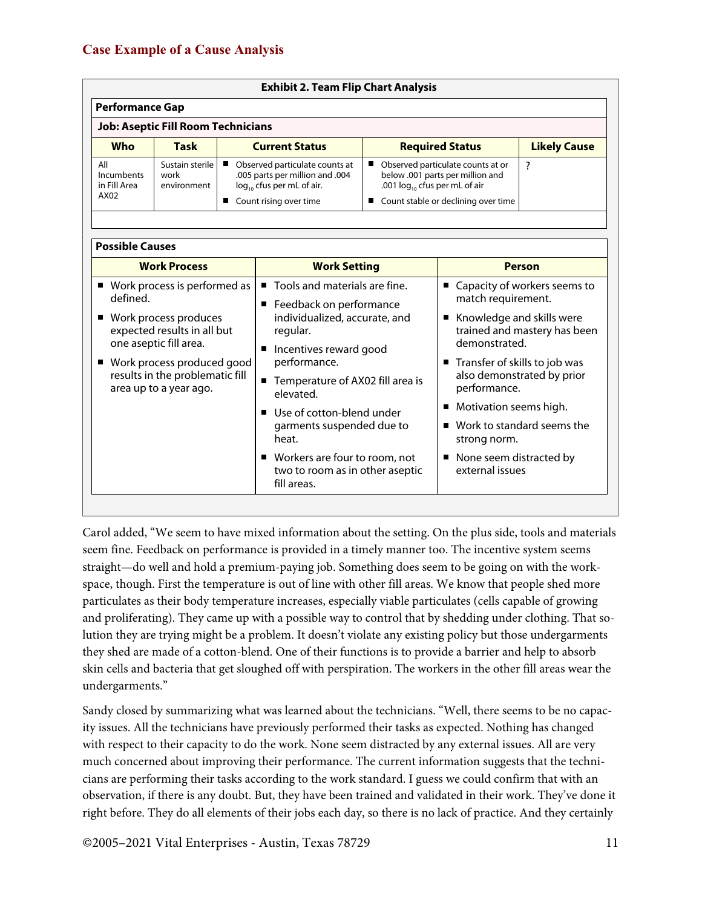| <b>Exhibit 2. Team Flip Chart Analysis</b> |                                        |                                                                                                                               |                                                                                                                                                           |                     |
|--------------------------------------------|----------------------------------------|-------------------------------------------------------------------------------------------------------------------------------|-----------------------------------------------------------------------------------------------------------------------------------------------------------|---------------------|
| <b>Performance Gap</b>                     |                                        |                                                                                                                               |                                                                                                                                                           |                     |
| <b>Job: Aseptic Fill Room Technicians</b>  |                                        |                                                                                                                               |                                                                                                                                                           |                     |
| <b>Who</b>                                 | <b>Task</b>                            | <b>Current Status</b>                                                                                                         | <b>Required Status</b>                                                                                                                                    | <b>Likely Cause</b> |
| All<br>Incumbents<br>in Fill Area<br>AX02  | Sustain sterile<br>work<br>environment | Observed particulate counts at<br>.005 parts per million and .004<br>$log_{10}$ cfus per mL of air.<br>Count rising over time | Observed particulate counts at or<br>■<br>below .001 parts per million and<br>.001 $log_{10}$ cfus per mL of air<br>■ Count stable or declining over time |                     |

| <b>Work Process</b>                                                                                                                                                                                                       | <b>Work Setting</b>                                                                                                                                                                                                                                                                                                                                                                                   | <b>Person</b>                                                                                                                                                                                                                                                                                                                                  |  |
|---------------------------------------------------------------------------------------------------------------------------------------------------------------------------------------------------------------------------|-------------------------------------------------------------------------------------------------------------------------------------------------------------------------------------------------------------------------------------------------------------------------------------------------------------------------------------------------------------------------------------------------------|------------------------------------------------------------------------------------------------------------------------------------------------------------------------------------------------------------------------------------------------------------------------------------------------------------------------------------------------|--|
| ■ Work process is performed as<br>defined.<br>Work process produces<br>expected results in all but<br>one aseptic fill area.<br>■ Work process produced good<br>results in the problematic fill<br>area up to a year ago. | ■ Tools and materials are fine.<br>■ Feedback on performance<br>individualized, accurate, and<br>regular.<br>Incentives reward good<br>п<br>performance.<br>Temperature of AX02 fill area is<br>$\blacksquare$<br>elevated.<br>Use of cotton-blend under<br>$\blacksquare$<br>garments suspended due to<br>heat.<br>■ Workers are four to room, not<br>two to room as in other aseptic<br>fill areas. | ■ Capacity of workers seems to<br>match requirement.<br>Knowledge and skills were<br>trained and mastery has been<br>demonstrated.<br>■ Transfer of skills to job was<br>also demonstrated by prior<br>performance.<br>Motivation seems high.<br>Work to standard seems the<br>strong norm.<br>None seem distracted by<br>٠<br>external issues |  |

Carol added, "We seem to have mixed information about the setting. On the plus side, tools and materials seem fine. Feedback on performance is provided in a timely manner too. The incentive system seems straight—do well and hold a premium-paying job. Something does seem to be going on with the workspace, though. First the temperature is out of line with other fill areas. We know that people shed more particulates as their body temperature increases, especially viable particulates (cells capable of growing and proliferating). They came up with a possible way to control that by shedding under clothing. That solution they are trying might be a problem. It doesn't violate any existing policy but those undergarments they shed are made of a cotton-blend. One of their functions is to provide a barrier and help to absorb skin cells and bacteria that get sloughed off with perspiration. The workers in the other fill areas wear the undergarments."

Sandy closed by summarizing what was learned about the technicians. "Well, there seems to be no capacity issues. All the technicians have previously performed their tasks as expected. Nothing has changed with respect to their capacity to do the work. None seem distracted by any external issues. All are very much concerned about improving their performance. The current information suggests that the technicians are performing their tasks according to the work standard. I guess we could confirm that with an observation, if there is any doubt. But, they have been trained and validated in their work. They've done it right before. They do all elements of their jobs each day, so there is no lack of practice. And they certainly